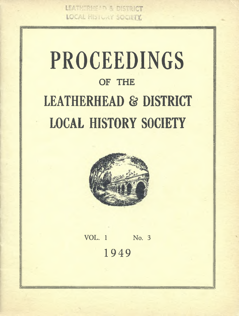LEATHERHEAD & DISTRICT **LOCAL HISTURY SOCIETY** 

# **PROCEEDINGS OF THE LEATHERHEAD** *&* **DISTRICT LOCAL HISTORY SOCIETY**



**VOL. 1 No. 3** 1949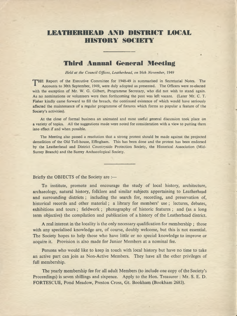## **LEATHERHEAD AND DISTRICT LOCAL HISTORY SOCIETY**

## **Third Annual General Meeting**

*Held at the Council Offices, Leatherhead, on* 16*th November,* 1949

HE Report of the Executive Committee for 1948-49 is summarised in Secretarial Notes. The Accounts to 30th September, 1949, were duly adopted as presented. The Officers were re-elected with the exception of Mr. W. G. Gilbert, Programme Secretary, who did not wish to stand again. As no nominations or volunteers were then forthcoming the post was left vacant. (Later Mr. C. T. Fisher kindly came forward to fill the breach, the continued existence of which would have seriously affected the maintenance of a regular programme of fixtures which forms so popular a feature of the Society's activities).

A t the close of formal business an animated and most useful general discussion took place on a variety of topics. All the suggestions made were noted for consideration with a view to putting them into effect if and when possible.

The Meeting also passed a resolution that a strong protest should be made against the projected demolition of the Old Toll-house, Effingham. This has been done and the protest has been endorsed by the Leatherhead and District Countryside Protection Society, the Historical Association (Mid-Surrey Branch) and the Surrey Archaeological Society.

Briefly the OBJECTS of the Society are :—

To institute, promote and encourage the study of local history, architecture, archaeology, natural history, folklore and similar subjects appertaining to Leatherhead and surrounding districts ; including the search for, recording, and preservation of, historical records and other material; a library for members' use; lectures, debates, exhibitions and tours ; fieldwork ; photography of historic features ; and (as a long term objective) the compilation and publication of a history of the Leatherhead district.

A real interest in the locality is the only necessary qualification for membership ; those with any specialised knowledge are, of course, doubly welcome, but this is not essential. The Society hopes to help those who have little or no special knowledge to improve or acquire it. Provision is also made for Junior Members at a nominal fee.

Persons who would like to keep in touch with local history but have no time to take an active part can join as Non-Active Members. They have all the other privileges of full membership.

The yearly membership fee for all adult Members (to include one copy of the Society's Proceedings) is seven shillings and sixpence. Apply to the Hon. Treasurer : Mr. S. E. D. FORTESCUE, Pond Meadow, Preston Cross, Gt. Bookham (Bookham 2683).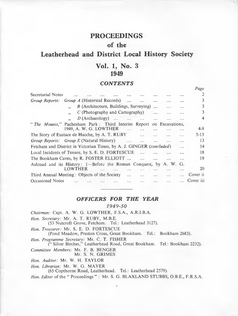## **PROCEEDINGS**

## **of the**

## **Leatherhead and District Local History Society**

## **Vol. 1, No. 3 1949**

#### *CONTENTS*

*Page*

| Secretarial Notes                                                                |         |                                        |  |  |  |          |          |          |           | 2         |
|----------------------------------------------------------------------------------|---------|----------------------------------------|--|--|--|----------|----------|----------|-----------|-----------|
| Group Reports:                                                                   |         | <i>Group A</i> (Historical Records)    |  |  |  |          | $\cdots$ |          | $- - -$   | 3         |
|                                                                                  |         | B (Architecture, Buildings, Surveying) |  |  |  |          |          |          | $\ddotsc$ | 3         |
|                                                                                  |         | $C$ (Photography and Cartography)      |  |  |  |          | $\cdots$ | $\cdots$ | $\cdots$  | 3         |
|                                                                                  |         | $D$ (Archaeology)                      |  |  |  |          | $\cdots$ |          |           | 4         |
| " The Mounts," Pachesham Park: Third Interim Report on Excavations,              |         |                                        |  |  |  |          |          |          |           |           |
|                                                                                  |         | 1949, A. W. G. LOWTHER                 |  |  |  |          |          |          |           | $4 - 8$   |
| The Story of Eustace de Hacche, by A. T. RUBY<br>$\cdots$                        |         |                                        |  |  |  |          |          |          |           | $5 - 13$  |
| Group Reports: Group E (Natural History)                                         |         |                                        |  |  |  | $\cdots$ | $\cdots$ |          | $\cdots$  | 13        |
| Fetcham and District in Victorian Times, by A. J. GINGER (concluded)<br>$\cdots$ |         |                                        |  |  |  |          |          |          |           | 14        |
| Local Incidents of Tenure, by S. E. D. FORTESCUE<br><b>Section</b><br>$\ddotsc$  |         |                                        |  |  |  |          |          |          |           | 18        |
| The Bookham Caves, by R. FOSTER ELLIOTT<br>$\cdots$<br>$\cdots$                  |         |                                        |  |  |  |          |          |          | 19        |           |
| Ashtead and its History: 1—Before the Roman Conquest, by A. W. G.                |         |                                        |  |  |  |          |          |          |           |           |
|                                                                                  | LOWTHER |                                        |  |  |  |          |          |          |           | 20        |
| Third Annual Meeting: Objects of the Society                                     |         |                                        |  |  |  |          | $\cdots$ |          |           | Cover ii  |
| Occasional Notes                                                                 |         |                                        |  |  |  |          | $\cdots$ |          |           | Cover iii |
|                                                                                  |         |                                        |  |  |  |          |          |          |           |           |

#### *OFFICERS FOR THE YEAR*

#### *1949-50*

*Chairman:* Capt. A. W. G. LOWTHER, F.S.A., A.R.I.B.A. *Hon. Secretary:* Mr. A. T. RUBY, M.B.E. (53 Nutcroft Grove, Fetcham. Tel.: Leatherhead 3127). *Hon. Treasurer:* Mr. S. E. D. FORTESCUE (Pond Meadow, Preston Cross, Great Bookham. Tel.: Bookham 2683). *Hon. Programme Secretary:* Mr. C. T. FISHER (" Silver Birches," Leatherhead Road, Great Bookham. Tel.: Bookham 2232). *Committee Members:* Mr. F. B. BENGER Mr. S. N. GRIMES *Hon. Auditor:* Mr. W. H. TAYLOR *Hon. Librarian:* Mr. W. G. MAYER (65 Copthorne Road, Leatherhead. Tel.: Leatherhead 2579).

*Hon. Editor* of the " Proceedings " : Mr. S. G. BLAXLAND STUBBS, O.B.E., F.R.S.A.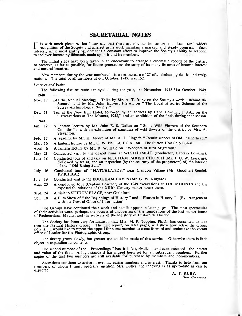#### **SECRETARIAL NOTES**

 $\Gamma$  is with much pleasure that I can say that there are obvious indications that local (and wider) recognition of the Society and interest in its work maintain a marked and steady progress. Such recognition of the Society and interest in its work maintain a marked and steady progress. Such interest, while most gratifying, demands a constant elfort to improve the Society's ability to respond to the ever-increasing demands made upon it and its members.

The initial steps have been taken in an endeavour to arrange a cinematic record of the district to preserve, as far as possible, for future generations the story of its many features of historic interest and natural beauties.

New members during the year numbered 46, a net increase of 27 after deducting deaths and resignations. The total of all members at 6th October, 1949, was 152.

*Lectures and Visits*

The following fixtures were arranged during the year, 1st November, 1948-31st October, 1949. 1948

- Nov. 17 (At the Annual Meeting). Talks by Mr. A. T. Ruby on the Society's work " Behind the Scenes," and by Mr. John Harvey, F.S.A., on " The Local Histories Scheme of the Surrey Archaeological Society."
- Dec. 11 Tea at the New Bull Hotel, followed by an address by Capt. Lowther, F.S.A., on the " Excavations at The Mounts, 1948," and an exhibition of the finds during that season.

1949

- Jan. 12 A lantern lecture by Mr. John E. S. Dallas on " Some Wild Flowers of the Southern Counties "; with an exhibition of paintings of wild flowers of the district by Mrs. A. Steventon.
- Feb. 17 A reading by Mr. H. Moore of Mr. A. J. Ginger's " Reminiscences of Old Leatherhead."
- Mar. 16 A lantern lecture by Mr. C. W. Phillips, F.S.A., on " The Sutton Hoo Ship Burial."
- April 6 A lantern lecture by Mr. R. W. Hale on "Wonders of Bird Migration."
- May 21 Conducted visit to the chapel ruins at W ESTHUMBLE (conductor, Captain Lowther).
- June 18 Conducted tour of and talk on FETCHAM PARISH CHURCH (Mr. J. G. W. Lewarne). Followed by tea at, and an inspection (by the courtesy of the proprietors) of, the interior of the " Old Rising Sun."
- July 16 Conducted tour of "HATCHLANDS," near Clandon Village (Mr. Goodhart-Rendel. PP.R.I.B.A.).
- July 19 Conducted visit to the BOOKHAM CAVES (Mr. G. W. Ridyard).
- Aug. 20 A conducted tour (Captain Lowther) of the 1949 excavations at THE MOUNTS and the exposed foundations of the XIIIth Century manor house there.
- Sept. 24 A visit to SUTTON PLACE, near Guildford.
- Oct. 18 A Film Show of " the Beginnings of History " and " Houses in History." (By arrangement with the Central Office of Information).

The Groups have continued their work and details appear in later pages. The most spectacular of their activities were, perhaps, the successful uncovering of the foundations of the lost manor house of Pachenesham Magna, and the recovery of the life story of Eustace de Hacche.

The Society has been very fortunate in that Mrs. M. P. Topping, Ph.D., has consented to take over the Natural History Group. The first report, on later pages, will show how active the Group now is. I would like to repeat the appeal for some member to come forward and undertake the vacant office of Leader for the Photographic Group.

The library grows slowly, but greater use could be made of this service. Otherwise there is little object in expanding its contents.

The second number of the " Proceedings " has, it is felt, rivalled—and even exceeded—the interest and value of the first. A high standard has indeed been set for all subsequent numbers. Further copies of the first two numbers are still available for purchase by members and non-members.

Accessions continue to arrive in ever increasing numbers and interest. Thanks to help from our members, of whom I must specially mention Mrs. Butler, the indexing is as up-to-date as can be expected.

*2*

A. T. RUBY, *Hon. Secretary.*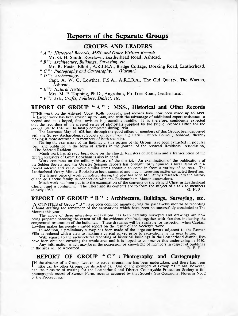## **Reports of the Separate Groups**

#### **GROUPS AND LEADERS**

" *A* ": Historical Records, MSS. and Other Written Records. Mr. G. H. Smith, Roselawn, Leatherhead Road, Ashtead.

" B": Architecture, Buildings, Surveying, etc.

Mr. R. Foster Elliott, A.R.I.B.A., Bridge Cottage, Dorking Road, Leatherhead. " *C ": Photography and Cartography. (Vacant.)*

" *D Archaeology.*

Capt. A. W. G. Lowther, F.S.A., A.R.I.B.A., The Old Quarry, The Warren, Ashtead.

" *E Natural History.*

Mrs. M. P. Topping, Ph.D., Angroban, Fir Tree Road, Leatherhead.

" *F Arts, Crafts, Folklore, Dialect, etc.*

## **REPORT OF GROUP " A " : MSS., Historical and Other Records**

THE work on the Ashtead Court Rolls proceeds, and records have now been made up to 1499.<br>
Learlier work has been revised up to 1448, and with the advantage of additional expert assistance, a<br>
cocoord and it is bened final Earlier work has been revised up to 1448, and with the advantage of additional expert assistance, a second and, it is hoped, final revision is proceeding rapidly. It is, therefore, confidently expected that the recording of the present series of photostats supplied by the Public Records Office for the

period 1387 to 1546 will be finally completed during 1950. The Lawrence Map of 1638 has, through the good offices of members of this Group, been deposited with the Surrey Archaeological Society on loan from the Parish Church Council, Ashtead, thereby making it more accessible to members of both societies.

During the year many of the findings of this section of the Group have been extracted in popular form and published in the form of articles in the journal of the Ashtead Residents' Association, The Ashtead Resident."

Much work has already been done on the church Registers of Fetcham and a transcription of the church Registers of Great Bookham is also in hand.

Work continues on the military history of the district. An examination of the publications of the Selden Society and the Quarter Sessions reports has brought forth numerous local items of historical interest and value, while similar items continue to come in from a variety of sources. The Leatherhead Vestry Minute Books have been examined and much interesting matter extracted therefrom. The largest piece of work completed during the year has been Mr. Ruby's research into the history

of the de Hacche family in connection with the Pachenesham Manor excavations.

Much work has been put into the examination of the contents of the Slyfield Chest in Leatherhead Church, and is continuing. The Chest and its contents are to form the subject of a talk to members in early 1950.

### **REPORT OF GROUP " B " : Architecture, Buildings, Surveying, etc.**

ACTIVITIES of Group "B" have been confined mainly during the past twelve months to recording<br>Mann drafting the remainder of the excavations which have been so successfully concluded at The and drafting the remainder of the excavations which have been so successfully concluded at The Mounts this year.

The whole of these interesting excavations has been carefully surveyed and drawings are now being prepared showing the extent of all the evidence obtained, together with sketches indicating the conjectured restoration of the buildings. These drawings will be available for inspection when Captain Lowther makes his keenly awaited report on the result of the Society's work.

In addition, a preliminary survey has been made of the large earthwork adjacent to the Roman Villa at Ashtead with a view to making a careful survey prior to excavations in the near future.

With regard to the architectural recording of historical buildings in the Leatherhead district, lists have been obtained covering the whole area and it is hoped to commence this undertaking in 1950. Any information which may be in the possession or knowledge of members in respect of buildings e area will be welcomed.<br>R. F. E. in the area will be welcomed.

## **REPORT OF GROUP "C": Photography and Cartography**

IN the absence of a Group Leader no actual programme has been undertaken, and there has been<br>little call by other Groups for its activities. One of the members of Group "C" has, however,<br>had the algebra of meling for the little call by other Groups for its activities. One of the members of Group " $C$ " has, however, had the pleasure of making for the Leatherhead and District Countryside Protection Society a full photographic record of Sweech Farm , recently acquired by that Society *(see* Occasional Notes in No. 2 of the Proceedings).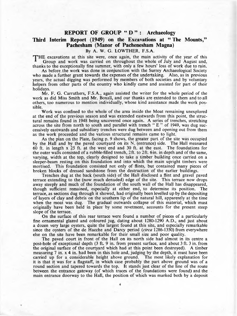#### **REPORT OF GROUP " D " : Archaeology**

## **Third Interim Report (1949) on the Excavations at " The Mounts," Pachesham (Manor of Pachenesham Magna)**

By A. W. G. LOWTHER, F.S.A.

THE excavations at this site were, once again, the main activity of the year of this Group and work was carried on throughout the whole of July and August and, thanks to the exceptionally fine summer, with only a few hours' loss of work due to rain.

As before the work was done in conjunction with the Surrey Archaeological Society who made a further grant towards the expenses of the undertaking. Also, as in previous years, the actual digging was performed by members of both societies and by voluntary helpers from other parts of the country who kindly came and assisted for part of their holidays.

Mr. F. G. Carruthers, F.S.A., again assisted the writer for the whole period of the work as did Miss Smith and Mr. Boxall, and our thanks are extended to them and to all others, too numerous to mention individually, whose kind assistance made the work possible.

Work was confined to the whole of the area inside the Moat remaining unexplored at the end of the previous season and was extended eastwards from this point, the structural remains found in 1948 being uncovered once again. A series of trenches, stretching across the site from north to south and parallel with trench " E " of 1949, was dug successively eastwards and subsidiary trenches were dug between and opening out from them as the work proceeded and the various structural remains came to light.

As the plan on the Plate, facing p. 9 shows, the greater part of the site was occupied by the Hall and by the paved courtyard on its N. (entrance) side. The Hall measured 60 ft. in length x 25 ft. at the west end and 30 ft. at the east. The foundations for the outer walls consisted of a rubble-filled trench, 2 ft. to 2 ft. 6 in. in depth and of the same, varying, width at the top, clearly designed to take a timber building once carried on a sleeper-beam resting on this foundation and into which the main upright timbers were mortised. This foundation consisted not only of flints, but contained many pieces of broken blocks of dressed sandstone from the destruction of the earlier buildings.

Trenches dug at the back (south side) of the Hall disclosed a flint and gravel paved terrace extending to the (now much denuded) edge of the site. This terrace now drops away steeply and much of the foundation of the south wall of the Hall has disappeared, though sufficient remained, especially at either end, to determine its position. The terrace, as sections dug through it showed, had originally been levelled up by the depositing of layers of clay and debris on the southern lip of the natural hill, apparently at the time when the moat was dug. The gradual outwards collapse of this material, which must originally have been held in place by some revetment, accounts for the present steep slope of the terrace.

On the surface of this rear terrace were found a number of pieces of a particularly fine ornamental glazed and coloured jug, dating about 1280-1290 A.D., and just about a dozen very large oysters, quite the largest found at this site, and especially remarkable since the oysters of the de Hacche and Darcy period *(circa* 1286-1350) from everywhere else on the site have been remarkable for their small size and poor quality.

The paved court in front of the Hall on its north side had almost in its centre a post-hole of exceptional depth (3 ft. 9 in. from present surface, and about 3 ft. 3 in. from the original surface of the courtyard which had at this point been destroyed). A timber measuring 7 in. x 4 in. had been in this hole and, judging by the depth, it must have been carried up for a considerable height above ground. The most likely explanation for it is that it was for a flagstaff, in which case probably the part above ground was of a round section and tapered towards the top. It stands just clear of the line of the route between the entrance gateway (of which traces of the foundations were found) and the main entrance doorway to the Hall, the position of which was marked both by a deposit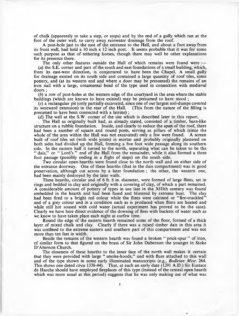of chalk (apparently to take a step, or steps) and by the end of a gully which ran at the foot of the outer wall, to carry away rainwater drainage from the roof.

A post-hole just to the east of the entrance to the Hall, and about a foot away from its front wall, had held a 10 inch x 12 inch post. It seems probable that it was for some such purpose as that of tethering horses, though there may well be other explanations for its presence there.

The only other features outside the Hall of which remains were found were :-(a) the S.E. corner and part of the south and east foundations of a small building, which, from its east-west direction, is conjectured to have been the Chapel. A small gully for drainage existed on its south side and contained a large quantity of roof tiles, some pottery, and (at its western end and where a door may be presumed) the remains of an iron nail with a large, ornamental head of the type used in connection with medieval doors ;

(*b*) a row of post-holes at the western edge of the courtyard in the area where the stable buildings (which are known to have existed) may be presumed to have stood ;

(c) a rectangular pit (only partially excavated, since one of our largest soil-dumps covered its westward extension) in the rear of the Hall. (This from the nature of the filling is presumed to have been connected with a latrine) ;

(*d*) The well at the S.W. corner of the site which is described later in this report.

The Hall as originally built had, as already stated, consisted of a timber, barn-like structure on a rubble foundation. Inside, and clearly to reduce the span of the roof, there had been a number of square and round posts, serving as pillars of which (since the whole of the area within the Hall was not excavated) only a few were found. A screen built of roof tiles set (with wide joints) in mortar and probably originally plastered on both sides had divided up the Hall, forming a five foot wide passage along its southern side. In the eastern half it turned to the north, separating what can be taken to be the " dais," or " Lord's " end of the Hall from the remainder, while it also formed a three foot passage (possibly ending in a flight of steps) on the south side.

Two circular open-hearths were found close to the north wall and on either side of the entrance doorway. One of these hearths (that in the dais compartment) was in good preservation, although cut across by a later foundation ; the other, the western one, had been mainly destroyed by the later walls.

These hearths, circular and of 6 ft. 6 in. diameter, were formed of large flints, set in rings and bedded in clay and originally with a covering of clay, of which a part remained. A considerable amount of pottery of types in use late in the XHIth century was found embedded in the hearth and had been fused and blistered by extreme heat. The clay had been fired to a bright red colour while the flints were calcined or "fire-crackled" and of a grey colour and in a condition such as is produced when flints are heated and while still hot soused with cold water (actual experiment has proved to be the case). Clearly we have here direct evidence of the dowsing of fires with buckets of water such as we know to have taken place each night at curfew time.

Round the edge of the eastern hearth remained some of the floor, formed of a thick layer of mixed chalk and clay. Clearly if there was a raised timber dais in this area it was confined to the extreme eastern and southern part of this compartment and was not more than ten feet in width.

Beside the remains of the western hearth was found a broken " prick-spur " of iron, of similar form to that figured on the brass of Sir John Dabernon the younger in Stoke D'Abernon Church.

The closeness of these hearths to the inner face of the north wall makes it certain that they were provided with large " smoke-hoods," and with flues attached to this wall and of the type shown in some early illuminated manuscripts (e.g., *Bodleian Misc.* 264. This shows one dated *circa* 1338-44). That, at such an early date (1291 A.D.) Sir Eustace de Hacche should have employed fireplaces of this type (instead of the central open hearth which was more usual at this period) suggests that he was only making use of what was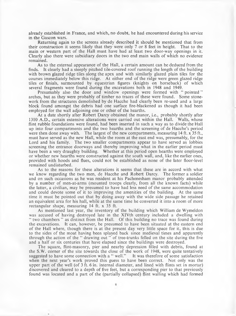already established in France, and which, no doubt, he had encountered during his service in the Gascon wars.

Returning again to the screens already described it should be mentioned that from their construction it seems likely that they were only 7 or 8 feet in height. That to the main or western part of the Hall must have had at least two door-way openings in it. Clearly also there were subsidiary doors in the two end main walls of which no evidence remained.

As to the external appearance of the Hall, a certain amount can be deduced from the finds. It clearly had a steeply pitched tile-covered roof running the length of the building with brown glazed ridge tiles along the apex and with similarly glazed plain tiles for the courses immediately below this ridge. At either end of the ridge were green glazed ridge tiles or finials, surmounted by equestrian figures (knights on horseback) of which several fragments were found during the excavations both in 1948 and 1949.

Presumably also the door and window openings were formed with " pointed " arches, but as they were probably of timber no traces of these were found. Some stonework from the structures demolished by de Hacche had clearly been re-used and a large block found amongst the debris had one surface fire-blackened as though it had been employed for the wall adjoining one or other of the hearths.

At a date shortly after Robert Darcy obtained the manor, i.e., probably shortly after 1310 A.D., certain extensive alterations were carried out within the Hall. Walls, whose flint rubble foundations were found, had been inserted in such a way as to divide the Hall up into four compartments and the two hearths and the screening of de Hacche's period were then done away with. The largest of the new compartments, measuring 14 ft. x 35 ft., must have served as the new Hall, while the room at the east end was, presumably, for the Lord and his family. The two smaller compartments appear to have served as lobbies screening the entrance doorways and thereby improving what in the earlier period must have been a very draughty building. Whether at this period open hearths were employed or whether new hearths were constructed against the south wall, and, like the earlier ones, provided with hoods and flues, could not be established as none of the later floor-level remained undisturbed.

As to the reasons for these alterations it seems that these are in accord with what we know regarding the two men, de Hacche and Robert Darcy. The former a soldier and on such occasions as he was resident at his Pachenesham manor probably attended by a number of men-at-arms (mounted troops clearly, from all the known facts) while the latter, a civilian, may be presumed to have had less need of the same accommodation and could devote some of it to improving the amenities of the building. At the same time it must be pointed out that by doing away with the wide side passage he retained an equivalent area for his hall, while at the same time he converted it into a room of more rectangular shape, measuring 14 ft. x 35 ft.

As mentioned last year, the inventory of the building which William de Wymeldon was accused of having destroyed late in the XlVth century included a dwelling with " two chambers " as distinct from the Hall. Of this building no trace was found during the excavations. It can, however, be presumed to have been situated at the eastern end of the Hall where, though there is at the present day very little space for it, this is due to the sides of the moat having been splayed back since medieval times and apparently through the action of the " drawing out " of tree-trunks felled on the site during the five and a half or six centuries that have elapsed since the buildings were destroyed.

The square, flint-masonry, pier and nearby depression filled with debris, found at the S.W. corner of the site towards the close of the work of 1948, were quite tentatively suggested to have some connection with a " well." It was therefore of some satisfaction when the next year's work proved this guess to have been correct. Not only was the upper part of the well (of 3 ft. 6 in. internal diameter, and lined with flints set in mortar) discovered and cleared to a depth of five feet, but a corresponding pier to that previously found was located and a part of the (partially collapsed) flint walling which had formed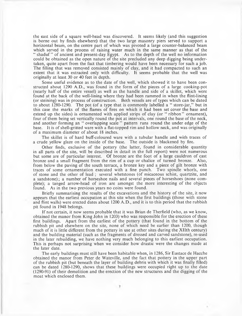the east side of a square well-head was discovered. It seems likely (and this suggestion is borne out by finds elsewhere) that the two large masonry piers served to support a horizontal beam, on the centre part of which was pivoted a large counter-balanced beam which served in the process of raising water much in the same manner as that of the " shaduf " of ancient and present-day Egypt. As to the depth of the well no information could be obtained as the open nature of the site precluded any deep digging being undertaken, quite apart from the fact that timbering would have been necessary for such a job. The filling that was remqved consisted mainly of clay, and it had compacted to such an extent that it was extracted only with difficulty. It seems probable that the well was originally at least 30 or 40 feet in depth.

Some useful evidence as to the date of the well, which showed it to have been constructed about 1290 A.D., was found in the form of the pieces of a large cooking-pot (nearly half of the entire vessel) as well as the handle and side of a skillet, which were found at the back of the well-lining where they had been rammed in when the flint-lining (or steining) was in process of construction. Both vessels are of types which can be dated to about 1280-1290. The pot (of a type that is commonly labelled a " store-jar," but in this case the marks of the flames of fires on which it had been set cover the base and extend up the sides) is ornamented with applied strips of clay (or " ribbon" ornament), four of them being set vertically round the pot at intervals, one round the base of the neck, and another forming an " overlapping scale " pattern runs round the under edge of the base. It is of shell-gritted ware with a flat-topped rim and hollow neck, and was originally of a maximum diameter of about 18 inches.

The skillet is of hard buff-coloured ware with a tubular handle and with traces of a crude yellow glaze on the inside of the base. The outside is blackened by fire.

Other finds, exclusive of the pottery (the latter, found in considerable quantity in all parts of the site, will be described in detail in the full report) were not numerous but some are of particular interest. Of bronze are the foot of a large cauldron of cast bronze and a small fragment from the rim of a cup or chalice of turned bronze. Also, from below the paving of the south terrace, a bronze key and a piece of gilt bronze with traces of some ornamentation executed with a fine punch. Two spindle whorls, one of stone and the other of lead ; several whetstones (of micaceous schist, quartzite, and a sandstone); a number of horseshoe nails and several pieces of horseshoes (none complete); a tanged arrow-head of iron are amongst the more interesting of the objects found. As in the two previous years no coins were found.

Briefly summarising the results of the excavations and the history of the site, it now appears that the earliest occupation at this site when the first buildings (those with stone and flint walls) were erected dates about 1200 A.D., and it is to this period that the rubbish pit found in 1948 belongs.

If not certain, it now seems probable that it was Brian de Therfield (who, as we know, obtained the manor from King John in 1203) who was responsible for the erection of these first buildings. Apart from the earliest of the pottery (that found in the bottom of the rubbish pit and elsewhere on the site, none of which need be earlier than 1200, though much of it is little different from the pottery in use at other sites during the XIIth century) and the building material (such as the fragments of dressed and carved sandstone), re-used in the later rebuilding, we have nothing very much belonging to this earliest occupation. This is perhaps not surprising when we consider how drastic were the changes made at the later date.

The early buildings must still have been habitable when, in 1286, Sir Eustace de Hacche obtained the manor from Peter de Wateville, and the fact that pottery in the upper part of the rubbish pit (but beneath the layer of building debris with which it was finally filled) can be dated 1280-1290, shows that these buildings were occupied right up to the date (1290-91) of their demolition and the erection of the new structures and the digging of the moat which enclosed them.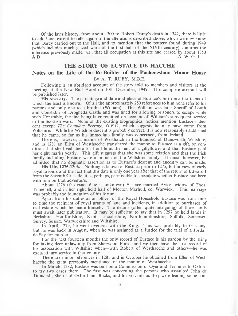Of the later history, from about 1300 to Robert Darcy's death in 1342, there is little to add here, except to refer again to the alterations described above, which we now know that Darcy carried out to the Hall, and to mention that the pottery found during 1949 (which includes much glazed ware of the first half of the XlVth century) confirms the inference previously made, *viz.*, that all occupation at this site had ceased by about 1350 A.D.<br>A. W. G. L. A.D. A. W. G. L.

#### **THE STORY OF EUSTACE DE HACCHE**

#### **Notes on the Life of the Re-Builder of the Pachenesham Manor House**

#### By A. T. RUBY, M.B.E.

Following is an abridged account of the story told to members and visitors at the meeting at the New Bull Hotel on 10th December, 1949. The complete account will be published later.

**His Ancestry.** The parentage and date and place of Eustace's birth are the items of which the least is known. Of all the approximately 250 references to him none refer to his parents and only one to a brother (William). This William was later Sheriff of Louth and Constable of Drogheda Castle and was fined for allowing prisoners to escape while such Constable, the fine being later remitted on account of William's subsequent service in the Scottish wars. None of the existing biographical notices mention Eustace's descent except *The Complete Peerage, G.E.C.,* which suggests he may have come from Wiltshire. While his Wiltshire descent is probably correct, it is now reasonably established that he came, so far as his immediate family was concerned, from Ireland.

There is, however, a manor of Westhatch in the hundred of Dunsworth, Wiltshire, and in 1281 an Ellen of Westhacche transferred the manor to Eustace as a gift, on condition that she lived there for her life at the rent of a gillyflower and that Eustace paid her eight marks yearly. This gift suggests that she was some relation and that the Irish family including Eustace were a branch of the Wiltshire family. It must, however, be admitted that no dogmatic assertion as to Eustace's descent and ancestry can be made.

**His Life, 1275-1306.** Nothing is known of Eustace prior to 1275, but in view of early royal favours and the fact that this date is only one year after that of the return of Edward I from the Seventh Crusade, it is, perhaps, permissible to speculate whether Eustace had been with him on that adventure.

About 1276 (the exact date is unknown) Eustace married Avice, widow of Thos. Trimenell, and in her right held half of Morton Merhull, co. Warwick. This marriage was probably the foundation of his fortune.

Apart from his duties as an officer of the Royal Household Eustace was from time to time the recipient of royal grants of land and incidents, in addition to purchases of real estate which he made himself. The details (often quite intriguing) of these lands must await later publication. It may be sufficient to say that in 1297 he held lands in Berkshire, Hertfordshire, Kent, Lincolnshire, Northamptonshire, Suffolk, Somerset, Surrey, Sussex, Warwickshire and Wiltshire.

In April, 1279, he went overseas with the King. This was probably to Gascony, but he was back in August, when he was assigned as a Justice for the trial of a Jordan de Say for murder.

For the next fourteen months the only record of Eustace is his pardon by the King for taking deer unlawfully from Sherwood Forest and we then have the first record of his association with Wiltshire when—with Robert of Westhacche and others—he was excused jury service in that county.

There are minor references in 1281 and in October he obtained from Ellen of Westhacche the grant previously mentioned of the manor of Westhacche.

In March, 1282, Eustace was sent on a Commission of Oyer and Terminer to Oxford to try two cases there. The first was concerning the persons who assaulted John de Tidmarsh, Sheriff of Oxford and Bucks, and his servants as they were leading some con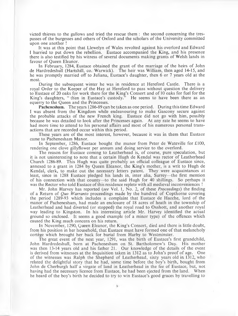victed thieves to the gallows and tried the rescue them : the second concerning the trespasses of the burgesses and others of Oxford and the scholars of the University committed upon one another !

It was at this point that Llewelyn of Wales revolted against his overlord and Edward I hurried to put down the rebellion. Eustace accompanied the King, and his presence there is also testified by his witness of several documents making grants of Welsh lands in favour of Queen Eleanor.

In February, 1284, Eustace obtained the grant of the marriage of the heirs of John de Hardredeshull (Hartshill, co. Warwick). The heir was William, then aged 14-15, and he was promptly married off to Juliana, Eustace's daughter, then 6 or 7 years old at the most.

During the subsequent winter he was in residence at Hereford Castle. There is a royal Order to the Keeper of the Hay at Hereford to pass without question the delivery to Eustace of 20 oaks for work there for the King's Consort and of 10 oaks for fuel for the King's daughters, "then in Eustace's custody." He seems to have been there as an equerry to the Queen and the Princesses.

**Pachenesham.** The years **1**286-89 can be taken as one period. During this time Edward I was absent from the Kingdom while endeavouring to make Gascony secure against the probable attacks of the new French king. Eustace did not go with him, possibly because he was detailed to look after the Princesses again. At any rate he seems to have had more time to attend to his personal affairs and most of his numerous personal transactions that are recorded occur within this period.

These years are of the most interest, however, because it was in them that Eustace came to Pachenesham Manor.

In September, 1286, Eustace bought the manor from Peter de Wateville for £100, rendering one clove gillyflower per annum and doing service to the overlord.

The reason for Eustace coming to Leatherhead is, of course, pure speculation, but it is not uninteresting to note that a certain Hugh de Kendal was rector of Leatherhead Church 1286-89. This Hugh was quite probably an official colleague of Eustace since, annexed to a grant in 1284 by Queen Eleanor, the King's mother, is a writ to Hugh de Kendal, clerk, to make out the necessary letters patent. They were acquaintances at least, since in 1288 Eustace pledged his lands in, inter alia, Surrey—the first mention of his connection with that county—to the said Hugh for 40 shillings. So perhaps it was the Rector who told Eustace of this residence replete with all medieval inconveniences !

Mr. John Harvey has reported *(see* Vol. 1, No. 2, of these *Proceedings*) the finding of a Return of *Quo Warranto* proceedings made by the hundred of Copthorne covering the period 1289-93 which includes a complaint that Eustace de Hacche, lord of the manor of Pachenesham, had made an enclosure of 18 acres of heath in the township of Leatherhead and had diverted (or stopped) the royal road to Oxshott, and another royal way leading to Kingston. In his interesting article Mr. Harvey identified the actual ground so enclosed. It seems a good example (of a minor type) of the offences which caused the King much concern on his return.

In November, 1290, Queen Eleanor, the King's Consort, died and there is little doubt, from his position in her household, that Eustace must have formed one of that melancholy cortege which brought her back for burial from Harby to Westminster.

The great event of the next year, 1291, was the birth of Eustace's first grandchild, John Hardredeshull, born at Pachenesham on St. Bartholomew's Day. His mother was then 13-14 years old and his father 21. Our knowledge of the details of the event is derived from witnesses at the Inquisition taken in 1312 as to John's proof of age. One of the witnesses was Ralph the Shepherd of Leatherhead, sixty years old in 1312, who related the delightful story that he had, some time before the boy's birth, bought from John de Cherburgh half a virgate of land in Leatherhead in the fee of Eustace, but, not having had the necessary licence from Eustace, he had been ejected from the land. When he heard of the boy's birth he decided to try to win Eustace's good graces by travelling to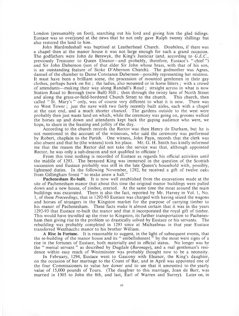London (presumably on foot), searching out his lord and giving him the glad tidings. Eustace was so overjoyed at the news that he not only gave Ralph twenty shillings but also restored the land to him.

John Hardredeshull was baptised at Leatherhead Church. Doubtless, if there was a chapel then at the manor house it was not large enough for such a grand occasion. The godfathers were John de Berewyk, the King's Justiciar (and, according to *G.E.C.,* previously Treasurer to Queen Eleanor—and probably, therefore, Eustace's " chief ") and Sir John Dabernon (son of that elder Sir John whose brass, with that of his son, is an outstanding feature of Stoke D 'Abernon Church). The godmother was Agnes, damsel of the chamber to Dame Constance Dabernon—possibly representing her mistress. It must have been a brilliant scene, the procession of mounted gentlemen in their gay clothes, perhaps hawk on fist ; the ladies, also mounted or in horse litters ; with a crowd of attendants—making their way along Randall's Road ; straight across in what is now Station Road to Borough (now Bull) Hill; then through the twisty lane of North Street and along the grass-or-field-bordered Church Street to the church. This church, then called " St. Mary's " only, was of course very different to what it is now. There was no West Tower ; just the nave with two fairly recently built aisles, each with a chapel at the east end, and a much shorter chancel. The gardens outside to the west were probably then just waste land on which, while the ceremony was going on, grooms walked the horses up and down and attendants kept back the gaping audience who were, we hope, to share in the feasting and jollity of the day.

According to the church records the Rector was then Henry de Durham, but he is not mentioned in the account of the witnesses, who said the ceremony was performed by Robert, chaplain to the Parish. One witness, John Payn, records that the clerk was also absent and that he (the witness) took his place. Mr. G. H. Smith has kindly informed me that the reason the Rector did not take the service was that, although appointed Rector, he was only a sub-deacon and not qualified to officiate !

From this time nothing is recorded of Eustace as regards his official activities until the middle of 1293. The bereaved King was immersed in the question of the Scottish succession and Eustace probably was still in the late Queen's household with, possibly, lightened duties. In the following November, 1292, he received a gift of twelve oaks from Gillingham forest " to make anew a hall."

**Pachenesham Re-built.** It is now well established from the excavations made at the site of Pachenesham manor that about this time the original manor buildings were pulled down and a new house, of timber, erected. At the same time the moat around the main buildings was excavated. There is also the fact, reported by Mr. Harvey in Vol. 1, No. 1, of these *Proceedings,* that in 1292-93 Eustace was charged with having seized the wagons and horses of strangers in the Kingston market for the purpose of carrying timber to his manor of Pachenesham. These facts make it almost certain that it was in the years 1292-93 that Eustace re-built the, manor and that it incorporated the royal gift of timber. This would have travelled up the river to Kingston, its further transportation to Pachenesham then giving rise to the problem so drastically solved by Eustace or his servants. The rebuilding was probably completed in 1293 since at Michaelmas in that year Eustace transferred Westhacche manor to his brother William.

A **Rise in Fortune.** It is reasonable to suggest, in the light of subsequent events, that the re-building of the manor house and its " embellishment " by the moat were signs of a rise in the fortunes of Eustace, both materially and in official status. No longer was he the " menial servant " as described by Dugdale *{Baronage),* and a real gentleman's residence within easy reach of Westminster was probably thought now to be a necessity.

In February, 1294, Eustace went to Gascony with Eleanor, the King's daughter, on the occasion of her marriage to the Count of Bar, and in April was appointed one of the four Commissioners to value her dower and to see that it amounted to the yearly value of 15,000 pounds of Tours. (The daughter to this marriage, Joan de Barr, was married in 1305 to John the 8th, and last, Earl of Warren and Surrey). Later on, in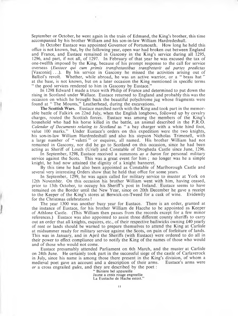September or October, he went again in the train of Edmund, the King's brother, this time accompanied by his brother William and his son-in-law William Hardredeshull.

In October Eustace was appointed Governor of Portsmouth. How long he held this office is not known, but, by the following year, open war had broken out between England and France, and Eustace remained in Gascony in the King's service during all 1295, 1296, and part, if not all, of 1297. In February of that year he was excused the tax of one-twelfth imposed by the King, because of his prompt response to the call for service overseas (*Eustace qui cum primis transfretantibus transfretavit ad partes predictas* [Vasconie]. ..). By his service in Gascony he missed the activities arising out of Balliol's revolt. Whether, while abroad, he was an active warrior, or a " brass hat " at the base, is not known, but on a later occasion the King mentioned in specific terms " the good services rendered to him in Gascony by Eustace."

In 1298 Edward I made a truce with Philip of France and determined to put down the rising in Scotland under Wallace. Eustace returned to England and probably this was the occasion on which he brought back the beautiful polychrome jug whose fragments were found at "The Mounts," Leatherhead, during the excavations.

**The Scottish Wars.** Eustace marched north with the King and took part in the memorable battle of Falkirk on 22nd July, when the English longbows, followed up by cavalry charges, routed the Scottish forces. Eustace was among the members of the King's household who had his horse killed in the battle, an animal described in the P.R.O. *Calendar of Documents relating to Scotland* as " a bay charger with a white hind foot, value 100 marks." Under Eustace's orders on this expedition were the two knights, his son-in-law William Hardredeshull and also his stepson Nicholas Trimenell, with a large number of " valetti " or esquires, all named. His brother William had not remained in Gascony, nor did he go to Scotland on this occasion, since he had been acting as Sheriff of Louth (Uriel) and Constable of Drogheda Castle since June, 1296.

In September, 1298, Eustace received a summons *as a baron* for personal military service against the Scots. This was a great event for him ; no longer was he a simple knight, he had now attained the dignity of a knight banneret.

By this time he had also been appointed as Constable of Marlborough Castle and several very interesting Orders show that he held that office for some years.

In September, 1299, he was again called for military service to muster at York on 12th November. On this occasion his brother William went with him, having ceased, prior to 13th October, to occupy his Sheriff's post in Ireland. Eustace seems to have remained on the Border until the New Year, since on 20th December he gave a receipt to the Keeper of the King's stores at Berwick-on-Tweed for a cask of wine. Evidently for the Christmas celebrations !

The year 1300 was another busy year for Eustace. There is an order, granted at the instance of Eustace, for his brother William de Hacche to be appointed as Keeper of Athlone Castle. (This William then passes from the records except for a few minor references.) Eustace was also appointed to assist three different county sheriffs to carry out an order that all knights, esquires, etc., of their respective bailiwicks owning £40 yearly of rent or lands should be warned to prepare themselves to attend the King at Carlisle at midsummer ready for military service against the Scots, on pain of forfeiture of lands. This was in January, and in April the Sheriffs (with Eustace) were ordered to do all in their power to effect compliance and to notify the King of the names of those who would and of those who would not come.

Eustace presumably attended Parliament on 6th March, and the muster at Carlisle on 24th June. He certainly took part in the successful siege of the castle of Carlaverock in July, since his name is among those there present in the King's division, of whom a medieval poet gave an account and a description of their arms. *or* a cross engrailed *gules,* and they are described by the poet :

" Baniere bel appareille Jaune a crois rouge engreellie La Eustache de Hache estoit."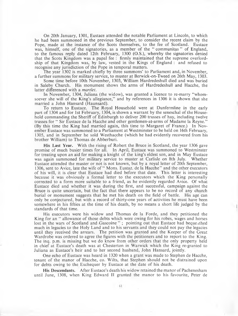On 20th January, 1301, Eustace attended the notable Parliament at Lincoln, to which he had been summoned in the previous September, to consider the recent claim by the Pope, made at the instance of the Scots themselves, to the fee of Scotland. Eustace was, himself, one of the signatories, as a member of the " communitas " of England, to the famous reply dated 12th February, 1300 (O.S.), whereby the signatories denied that the Scots Kingdom was a papal fee : firmly maintained that the supreme overlordship of that Kingdom was, by law, vested in the Kings of England : and refused to recognise any jurisdiction of the Pope in temporal matters.

The year 1302 is marked chiefly by three summons' to Parliament and, in November, a further summons for military service, to muster at Berwick-on-Tweed on 26th May, 1303.

Some time before 10th November, 1303, William Hardredeshull died and was buried in Saleby Church. His monument shows the arms of Hardredeshull and Hacche, the latter differenced with a *martlet.*

In November, 1304, Juliana (the widow), was granted a licence to re-marry "whomsoever she will of the King's allegiance," and by references in 1306 it is shown that she married a John Hansard (Haunsard).

To return to Eustace. The Royal Household were at Dunfermline in the early part of 1304 and for 1st February, 1304, is shown a warrant by the seneschal of the Household commanding the Sheriff of Edinburgh to deliver 200 trusses of hay, including twelve trusses for " Sir Eustace de la Hacche and other gentlemen-at-arms of Madame la Reyne." (By this time the King had married again, this time to Margaret of France.) In November Eustace was summoned to a Parliament at Westminster to be held on 16th February, 1305, and in September he sold Westhacche (which he had evidently recovered from his brother William) to Thomas de Abberburi.

**His Last Year.** With the rising of Robert the Bruce in Scotland, the year 1306 gave promise of much busier times for all. In April, Eustace was summoned to Westminster for treating upon an aid for making a knight of the king's eldest son, and in May Eustace was again summoned for military service to muster at Carlisle on 8th July. Whether Eustace attended the muster or not is not known, but by a royal letter of 20th September, 1306, sent to Avice, late the wife of " Mons. Eustaz. de la Hacche" and the other executors of his will, it is clear that Eustace had died before that date. This letter is interesting because it was obviously a formal letter to the executors which the King personally corrected to a form more suitable to a friend, as he evidently regarded Avice. Of what Eustace died and whether it was during the first, and successful, campaign against the Bruce is quite uncertain, but the fact that there appears to be no record of any church burial or monument suggests that he met his death on the field of battle. His age can only be conjectured, but with a record of thirty-one years of activities he must have been somewhere in his fifties at the time of his death, by no means a short life judged by the standards of that time.

His executors were his widow and Thomas de la Forde, and they petitioned the King for an " allowance of those debts which were owing for his robes, wages and horses lost in the wars of Scotland and Gascoine"; pointing out that Eustace had bequeathed much in legacies to the Holy Land and to his servants and they could not pay the legacies until they received the arrears. The petition was granted and the Keeper of the Great Wardrobe was ordered to agree the figures with the petitioners and to report to the King. The inq. p.m. is missing but we do know from other orders that the only property held in chief at Eustace's death was at Chesterton in Warwick which the King re-granted to Juliana as Eustace's heir and to her second husband, John Hansard, jointly.

One echo of Eustace was heard in 1320 when a grant was made to Stephen de Hacche, tenant of the manor of Hacche, co. Wilts, that Stephen should not be distrained upon for debts owing to the Exchequer by Eustace at the date of his death.

**His Descendants.** After Eustace's death his widow retained the manor of Pachenesham until June, 1308, when King Edward II granted the manor to his favourite, Peter de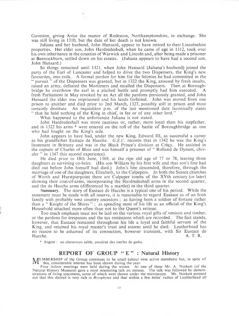Gaveston, giving Avice the manor of Rodeston, Northamptonshire, in exchange. She was still living in 1310, but the date of her death is not known.

Juliana and her husband, John Hansard, appear to have retired to their Lincolnshire properties. Her elder son, John Hardredeshull, when he came of age in 1312, took over his own inheritance in the counties of Warwick and Lincoln and, after being made a prisoner at Bannockburn, settled down on his estates. (Juliana appears to have had a second son, John Hansard.)

So things remained until 1321, when John Hansard (Juliana's husband) joined the party of the Earl of Lancaster and helped to drive the two Dispensers, the King's new favourites, into exile. A formal pardon for him for the felonies he had committed in the *"* pursuit " of the Dispensers was granted, but in 1322 the King, aroused by fresh insults, raised an army, defeated the Mortimers and recalled the Dispensers. Then at Boroughbridge he overthrew the earl in a pitched battle and promptly had him executed. A fresh Parliament in May revoked by an Act all the pardons previously granted, and John Hansard the elder was imprisoned and his lands forfeited. John was moved from one prison to another and died prior to 2nd March, 1327, possibly still in prison and most certainly destitute. An inquisition p.m. of the last mentioned date laconically states " that he held nothing of the King in chief, in fee or of any other lord."

What happened to the unfortunate Juliana is not stated.

John Hardredeshull was more cautious or, rather, more loyal than his stepfather, and in 1322 his arms \* were entered on the roll of the battle of Boroughbridge as one who had fought on the King's side.

John appears to have had, under the new King, Edward III, as successful a career as his grandfather Eustace de Hacche. *G.E.C.* records that in 1342 he was the King's lieutenant in Brittany and was in the Black Prince's division at Crecy. He assisted in the capture of Charles of Blois and was himself a prisoner of " Rolland de Dynam, chivaler " in 1347 (his second experience).

He died prior to 18th June, 1369, at the ripe old age of 77 or 78, leaving three daughters as surviving co-heirs. (His son William by his first wife and that son's line had died out before John himself had died.) John's line descended, therefore, through the marriage of one of the daughters, Elizabeth, to the Culpepers. In both the Sussex churches of Worth and Hurstpierpoint there are Culpeper tombs of the XVth century (or later) showing their coat-of-arms, incorporating the Hardredeshall arms in the second quarter, and the de Hacche arms (differenced by a martlet) in the third quarter.

**Summary.** The story of Eustace de Hacche is a typical one of his period. While the statement must be made with all reserve, it is reasonable to regard Eustace as of an Irish family with probably west country ancestors ; as having been a soldier of fortune rather than a " Knight of the Shires " ; as spending most of his life as an official of the King's Household attached more often than not to the Queen's retinue.

Too much emphasis must not be laid on the various royal gifts of venison and timber, or the pardons for trespasses and the tax remissions which are recorded. The fact stands, however, that Eustace remained throughout his life a loyal and faithful servant of the King, and retained his royal master's trust and esteem until he died. Leatherhead has no reason to be ashamed of its connection, however transient, with Sir Eustace de Hacche. A. T. R. Hacche. A. T. R.

\* Argent : un cheveroun sable, poudree des merles de gules.

#### **REPORT OF GROUP " E " : Natural History**

**MEMBERSHIP** of the Group continues to be small (about nine active members) but, in spite of this, considerable interest has been shown during the year.<br>Four indeer meetings were held during the winter, At one of these Mr this, considerable interest has been shown during the year.

Four indoor meetings were held during the winter. At one of these Mr. A. Norkett (of the Natural History Museum) gave a most interesting talk on mosses. The talk was followed by demonstrations of living specimens, some of which were shown under the microscope. Mr. Norkett pointed out that this district is very rich in *Bryophytes* and that within a few miles' radius of Leatherhead all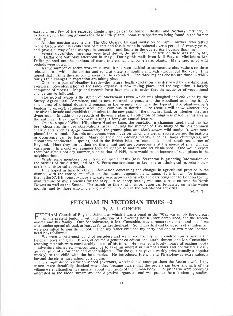except a very few of the recorded English species can be found. Boxhill and Norbury Park are, in particular, rich hunting grounds for these little plants—some rare specimens being found in the former locality.

Another meeting was held at The Old Quarry, by kind invitation of Capt. Lowther, who talked to the Group about his collection of plants and fossils made in Ashtead over a period of twenty years, and gave a survey of the changes in vegetation and fauna in the quarry itself during this time.

Several out-of-door meetings were held during the summer. The first of these was led by Mr. J. E. Dallas one Saturday afternoon in May. During this walk from Mill Way to Mickleham Mr. Dallas pointed out the habitats of many interesting, and some rare, plants. Many species of wild orchids were noted.

As the number of active workers is small it has been decided to concentrate observations on three selected areas within the district and to visit these at monthly intervals throughout the year. It is hoped that in time the size of the areas can be extended. The three regions chosen are those in which fairly rapid changes in vegetation are taking place.

On one—a part of Headley Heath—the natural heath vegetation was destroyed by war-time tank exercises. Re-colonisation of the sandy expanse is now taking place, and the vegetation is largely composed of mosses. Maps and records have been made in order that the sequence of vegetational change can be followed.

The second region is the stretch of Mickleham Down which was ploughed and cultivated by the Surrey Agricultural Committee, and is now returned to grass, and the woodland adjoining it. A small area of original downland remains in the vicinity, and here the typical chalk plants—viper's bugloss, dropwort, squinancy wort, etc.—continue to flourish. The records will show whether they are able to invade and establish themselves in the new grass on the ploughed land, or whether they are dying out. In addition to records of flowering plants, a collection of fungi was made in this area in the autumn. It is hoped to make a fungus foray an annual feature.

On the slope of White Hill, above Headley Lane, the vegetation is changing rapidly and this has been chosen as the third observational area. During the summer of 1949 many of the less common chalk plants, such as *Ajuga chamaepitys*, the ground pine, and *Iberis amara*, wild candytuft, were more plentiful than usual. Records and counts were made on which changes in succession and fluctuations in occurrence can be based. Many of these chalk-loving plants, such as *Ajuga chamaepitys,* are " southern continental " species, and in the British Isles are found only in this south-east corner of England. Here they are at their northern limit and are consequently at the mercy of small climatic variations. In a cool wet summer they are unable to mature and set viable seed. One would expect therefore after a hot dry summer, such as that of 1949, there would be an increase of such plants in the neighbourhood.

While some members concentrate on special tasks (Mrs. Steventon is gathering information on the orchids of the district, and Mr. S. Fortescue continues to keep the ornithological records) others prefer the historical approach.

It is hoped in time to obtain information concerning the changes in agricultural practice in the district, with the consequent effect on the natural vegetation and fauna. It is known, for instance, that in the XVIIIth century hops and oats were grown extensively, the oats being sent to London for the manufacture of ship's biscuits for the navy. Also, sheep rearing was once carried on over the North Downs as well as the South. The search for this kind of information can be carried on in the winter months, and by those who find it more difficult to join in the out-of-door activities.

M. P. T.

#### **FETCHAM IN VICTORIAN TIMES—2**

#### By A. J. GINGER

FETCHAM Church of England School, at which I was a pupil in the '90's, was simply the old part<br>The of the present building with the addition of a dwelling house (now demolished) for the school-<br>master and his fame of the present building with the addition of a dwelling house (now demolished) for the schoolmaster and his family. Our Schoolmaster, a Mr. Constable, was a remarkable man and his fame as a teacher spread abroad, at least as far as Leatherhead. Some Leatherhead boys, sons of a tradesman, were permitted to join the school. Then my father obtained my entry and one or two more Leatherhead boys followed.

We were a privileged band of outsiders and we mixed happily with kindred spirits among the Fetcham boys and girls. It was, of course, a genuine co-educational establishment, and Mr. Constable's teaching methods were considerably ahead of his time. He installed a lovely library of reading books —adventure stories etc.—encouraged us to take an interest in current affairs and conducted a daily quiz on general knowledge and other subjects. For the quiz he gave a weekly prize (usually a popular weekly) to the child with the best marks. He introduced French and Physiology as extra subjects beyond the elementary school curriculum.

The straight-laced Victorian school governors, who included amongst them the Rector's wife, Lady Moon, were dreadfully shocked when they became aware that the proletarian boys and girls of the village were, altogether, learning all about the insides of the human body. So, just as we were becoming interested in the blood stream and the digestive organs an end was put to these fascinating studies.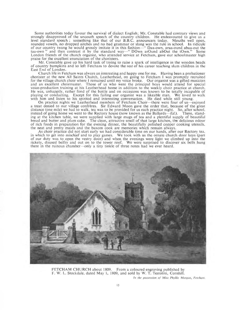Some authorities today favour the survival of dialect English; Mr. Constable had contrary views and strongly disapproved of the uncouth speech of the country children. He endeavoured to give us a level standard speech ; something like that of our B.B.C. announcers today. Mouths well open, rounded vowels, no dropped aitches and no bad grammar or slang was the rule in school. In ridicule of our country twang he would grossly imitate it in this fashion—" Daa-own, araa-ound abaa-out the taa-own  $\%$  and then contrast it by the standard way—" DOwn arOund abOut the tOwn." Some London friends of the church organist, who attended service at Fetcham, gave our schoolmaster high praise for the excellent enunciation of the choristers.

Mr. Constable gave up his hard task of trying to raise a spark of intelligence in the wooden heads of country bumpkins and so left Fetcham to devote the rest of his career teaching slum children in the East End of London.

Church life in Fetcham was always an interesting and happy one for me. Having been a probationer chorister at the new All Saints Church, Leatherhead, on going to Fetcham I was promptly recruited for the village church choir where 1 remained until my voice broke. Our organist was a gifted musician and an excellent choirmaster. Those of us who were the principal boys would attend for special voice-production training at his Leatherhead home in addition to the weekly choir practice at church. He was, unhappily, rather fond of the bottle and on occasions was known to be totally incapable of playing or conducting. Except for this failing our organist was a likeable man. We loved to walk with him and listen to his spirited and interesting conversation. He died while still young.

On practice nights we Leatherhead members of Fetcham Choir—there were four of us—enjoyed a treat denied to our village confreres. Sir Edward Moon gave the order that, because of the great distance (one mile) we had to walk, tea was to be provided for us each practice night. So, after school, instead of going home we went to the Rectory house (now known as the Ballards—*Ed.).* There, standing at the kitchen table, we were supplied with large mugs of tea and a plentiful supply of beautiful bread and butter and plum cake. The clean, attractive smell of that large kitchen, the delicious odour of rich foods in preparation for the evening dinner, the beautifully polished copper cooking utensils, the neat and pretty maids and the buxom cook are memories which remain always.

As choir practice did not start early we had considerable time on our hands, after our Rectory tea, in which to get into mischief and to play games. We took with us the ornate church door keys (part of our duty was to open the vestry door) and when the evenings were light we climbed up into the rickety, disused belfry and out on to the tower roof. We were surprised to discover six bells hung there in the ruinous chamber—only a tiny tinkle of three notes had we ever heard.



FETCHAM CHURCH about 1809. From a coloured engraving published by F. W. L. Stockdale, dated May 1, 1809, and sold by W. T. Testolini, Cornhill.

*In the possession of Miss Phyllis Morgan*, *Fetcham.*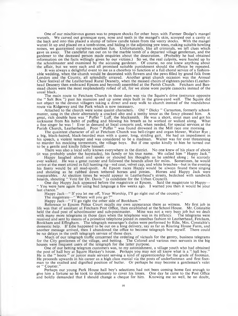One of our mischievous games was to prepare shocks for other boys with Farmer Dodge's mangel wurzels. We carved out grotesque eyes, nose and teeth in the mangel's skin, scooped out a cavity at the back and into this placed a stump of tallow candle taken from the vestry stocks. With the mangel wurzel lit up and placed on a tomb-stone, and hiding in the adjoining yew trees, making suitable howling noises, we guaranteed ourselves excellent fun. Unfortunately, like all criminals, we left clues which gave us away. The candlefat ran out on to the marble tomb of a departed village gentleman, and the gardener to the deceased person made enquiries about the desecration. (Probably he had obtained information on the facts willingly given by our victims.) So we, the real culprits, were hauled up by the schoolmaster and examined by the accusing gardener. Of course, no one knew anything about the affair, but we were each and all promised suitable punishment should the offence be repeated.

It was always a delightful event to me as a choirboy to function at a full choral service of a fashionable wedding, when the church would be decorated with flowers and the pews filled by grand folk from London and the County, all splendidly arrayed. Another great church occasion was the Annual Choir festival of the Leatherhead Rural Deanery, when the massed choirs of eighteen parishes (Leatherhead Deanery then embraced Epsom and beyond) assembled at the Parish Church. Fetcham and Banstead choirs were the most resplendently robed of all, for we alone wore purple cassocks instead of the usual black.

The main route to Fetcham Church in those days was via the Squire's drive (entrance opposite the " Salt Box ") past his mansion and up some steps built in the grave-yard wall. The Squire did not object to the devout villagers taking a direct and easy walk to church instead of the roundabout route via Ridgeway and the Park which is now necessary.

Attached to the church were some quaint characters. Old " Dicky " Carnarton, formerly schoolmaster, sang in the choir alternately a cracked alto and a teethy tenor as the fancy pleased him. A great, rich double bass was " Puffer " Luff, the blacksmith. He was a short, stout man and got his nickname from his habit of puffing and blowing his breath as he worked or walked along. What a fine singer he was ! Ever in demand at local concerts and, when needed, for special services at the Parish Church, Leatherhead. Poor " Puffer " was found drowned in the Mill race one morning.

The quaintest character of all at Fetcham Church was bell-ringer and organ blower, Walter  $\tilde{R}$ ye; a big, black-haired, black-bearded man with a queer, long, striding gait. He had an impediment in his speech, a violent temper and was considered to be a madman. Walter was for ever threatening to murder his mocking torm entors, the village boys. But if one spoke kindly to him he turned out to be a gentle and kindly fellow himself.

There was also a local softy known everywhere in the district. No one knew of his place of abode (it was probably under the haystacks), his family or his true name. We called him "Happy Jack."

Happy laughed aloud and spoke or shouted his thoughts as he ambled along; he scarcely ever walked. He was a great runner and followed the hounds afoot for miles. Sometimes, he would arrive at the meet attired in full hunting rig—red coat, velvet cap, and white breeches—but in the evening his finery would be all mud-spoilt. At Epsom races Happy would be always found there singing and shouting as he rubbed down tethered horses and ponies. Horses and Happy Jack were inseparables. At election times he would appear in Leatherhead's streets, bedecked with sandwich boards, shouting " Vote for Dr. Davis " (a candidate for the Urban Council).

One day Happy Jack appeared before the magistrate at Epsom. Said the magistrate to Happy—- " You were here again for using bad language a few weeks ago. I warned you then it would be your last chance.'

Happy Jack—" If you let me off, Y our Worship, I'll go right out of the country."

The magistrate—" Where will you go ?"<br>Happy Jack—" I'll go right the other side of Bookham."

Reference to Epsom Police Court recalls my own appearance there as witness. My first job in life was that of assistant at Fetcham Post Office, then established at the School House. Mr. Constable held the dual post of schoolmaster and sub-postmaster. Mine was not a very busy job but we dealt with many more telegrams in those days when the telephone was in its infancy. The telegrams were received and sent by means of a primitive telephone joined in omnibus fashion to Leatherhead, Fetcham, Bookham and Effingham. The telegraph messenger's duties were performed by Edie, Mrs. Constable's domestic help. If Edie happened to be out on a long delivery, say as far as Roaring House Farm, and another message arrived, then I abandoned the office to become telegraph boy myself. There could be no delays in the swift telegraph service of those days.

Much of our telegraph traffic concerned the ordering of victuals for the gentry, business telegrams for the City gentlemen of the village, and betting. The Colonel and various men servants in the big houses were frequent users of the telegraph for the latter purpose.

One of our betting telegram customers was, to my astonishment, a village youth who had obtained the post of hall boy at Squire Hankey's house. Perhaps you may not all know what is a hall boy." He is the " boots " or junior male servant serving a kind of apprenticeship for the grade of footman. He proceeds upwards in his career as a high class menial via the posts of underfootman and first footman to the exalted and dignified position of butler. Or perhaps he may become a gentleman's valet or " Courier."

Perhaps our young Park House hall boy's selections had not been coming home fast enough to give him a fortune so he took to dishonesty to cover his losses. One day he came to the Post Office and boldly demanded that I should change a cheque for him. Knowing me so well, he no doubt,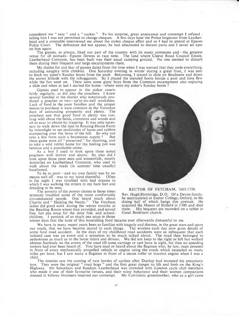considered me " easy " and a " sucker." To his surprise, great annoyance and contempt 1 refused ; telling him I was not permitted to change cheques. A few days later the Police Inspector from Leatherhead and a constable interviewed me about the stolen cheque affair and so I had to attend at Epsom Police Court. The defendant did not appear, he had absconded to distant parts and I never set eyes on him again.

The gipsies, as always, liked our part of the country with its many commons and—the greatest venue for all nomads—Epsom Downs at race time. The land where Cleeve R oad Council Estate. Leatherhead Common, has been built was their usual camping ground. No one seemed to disturb them during their frequent and large encampments there.

My dislike for and fear of gipsies dated from the time when I was warned that they stole everything, including naughty little children. One Saturday evening in winter during a great frost, I was sent<br>to fetch my sister's Sunday boots from the snob. Returning, I stayed to slide on Bradmere and down the snowy hillside with the tobogganers. So I placed the mended boots beside a post and time flew while the fun went on. There were some gipsy boys from the Common encampment also enjoying a slide and when at last I started for home—where were my sister's Sunday boots ?

Gipsies used to appear in the police courts fairly regularly, as did also the poachers. I knew several families in the district who notoriously produced a poacher or two—ne'er-do-well workshies. Lack of food in the poor families and the proper means to purchase it were common in the Victorian days of astounding prosperity and plenty. The poachers saw that good food in plenty was running wild about the fields, commons and woods and all so-easy to obtain by trapping. It was only necessary to walk down the lane to Roaring House Farm by moonlight to see multitudes of hares and rabbits scampering over the brow of the hill. So why not take a few from such a bounteous supply? But take a few from such a bounteous supply ? these game were all " preserved " for shooting, and to take a wild rabbit home for the boiling pot was heinous and a punishable crime.

As a boy I used to look upon these noted poachers with horror and alarm. So also did I look upon those poor men and womenfolk, mostly domiciled on Leatherhead Common, who used to walk about the roads (in summer time usually) barefooted.

To be so poor—and my own family was by no means well off—was to my mind shameful. Often in the night I was troubled with bad dreams in which I was walking the streets in my bare feet and dreading to be seen.

The poverty of the poorer classes in those times seriously troubled some of the more comfortably circumstanced people. One heard much about Charity and " Helping the Needy." The Fetcham ladies did good work during the winter months at the Reading Room where they provided, and served free, hot pea soup for the poor folk and schoolchildren. 1 partook of so much pea soup in those



#### RECTOR OF FETCHAM, 1683-1720.

Rev. Hugh Shortridge, D.D. Of a Devon family. he matriculated at Exeter College, Oxford, in the dining hall of which hangs this portrait. He acquired the Manor of Slyfield in 1700 and died there. His bequests are recorded on a tablet in Great Bookham church.

winter days that the taste of this nourishing food became ever afterwards distasteful to me.

We have in many recent years been so familiar with tragedy and distress, in the great wars and upon roads, that we have become inured to such things. The wireless each day now gives details of our roads, that we have become inured to such things. some fatal road accident. In the days of my childhood road accidents were so infrequent that each isolated case was an event and a sensation to be much talked about. The road then belonged to pedestrians as much as to the horse riders and drivers. We did not keep to the right or left but walked abreast fearlessly on the crown of the road till some carriage or cart hove in sight, for then no speeding motors had ever been heard of. You have read or heard about the flagman who, by law, must proceed in front of every mechanically propelled vehicle or engine using the roads which exceeded so many miles per hour, but I saw many a flagman in front of a steam roller or traction engine when I was a child.

The nineties saw the coming of vast hordes of cyclists after Dunlop had invented his pneumatic tyre. They were the original " road hogs " and the first great danger to life and limb on the King's Highway. On Saturdays and Sundays Leatherhead was crowded with London cycle club members who made it one of their favourite venues, and their noisy behaviour and their women companions dressed in billowy bloomers inspired our contempt. My Calvinistic grandm other, who as a girl came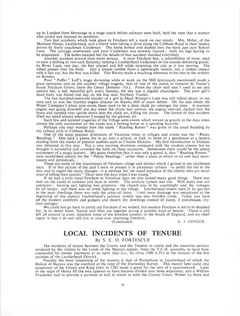up to London from Stevenage in a stage coach before railways were built, held the view that a woman who cycled was doomed to perdition.

Two bad accidents which took place in Fetcham left a mark on our minds. Mrs. Miller, of the Mansion House, Leatherhead, and a friend were taking a drive along the Cobham Road in their landau driven by burly coachman Castleman. The horse bolted and dashed into the bank just past School Lane. The carriage overturned and poor Castleman was severely injured ; both his legs having to be amputated. The ladies escaped but the details of that accident shocked everybody

Another accident proved even more serious. A poor Fetcham boy, a schoolfellow of mine, used to earn a shilling or two each Saturday helping a Leatherhead tradesman on his rounds delivering goods. In River Lane, one day, the boy slipped and fell while mounting the cart as it was moving. The wheel passed over his body. Just a simple tumble from a lightweight vehicle, not a violent impact with a fast car, but the boy was killed. Our Rector made a touching reference to his loss in the sermon

on Sunday. Poor " Puffer " Luff's tragic drowning while at work on the Mill (previously mentioned) made a great sensation and so did another village tragedy, that of one of the maids at General de Tessier's house Fetcham Grove, (now the Green Domino—*Ed.*). From my choir stall seat I used to see and admire her, a tall, beautiful girl, every Sunday, for she was a regular churchgoer. The poor girl's

dead body was found one day on the line near Norbury Tunnel. The two hundred-years-old murder of a girl in Dead W oman's Lane was still talked about in my time and so was the traction engine disaster on Hawks Hill of years before. On the side where the Water Company's plant now exists there used to be a deep chalk pit amongst the trees. A traction engine was going downhill one day when the driver lost control, the engine swerved, dashed into the fence and toppled over upside down into the chalk pit, killing the driver. The horror of that accident filled my mind always whenever I passed by the gloomy pit.

Such few and isolated tragedies of the Village were events which moved us greatly in the days when almost the only excitement on the roads was a bolting horse or a speeding bicyclist.

Perhaps you may wonder how the name " Reading Room " was given to the small building by the railway arch in Cobham Road.

One of the most popular diversions of Victorian times in villages and towns was the " Penny Readings." One paid a penny fee to go into a school, or hall, to listen to a gentleman at a lectern reading from the works of popular authors such as Charles Dickens. My first introduction to Dickens was obtained in this way. Not a very exciting diversion compared with the modern cinema but we thought it wonderful and crowded the halls on these occasions. Sometimes there would be the added excitement of a magic lantern. My guess therefore (but it was only a guess) is, that " Reading Rooms" were established mainly for the " Penny Readings " rather than a place in which to sit and read newspapers and periodicals.

These are some of the impressions of Fetcham village and district which I gained in my childhood days. If in this picture of the past I seem to present it in pleasanter colours—to prefer the old to the new and to regret the many changes—it is perhaps but the usual prejudice of the elderly who are never tired of telling their juniors " *Those* were the days when I was young."

If we had a truly rural Fetcham in Victorian days we also lacked many good things. There was dust on the roads in summer and mud in winter. The sanitary system was vile. Well water was not unknown ; heating and lighting was primitive—the church was lit by candlelight and the cottages by oil lamps— and there was no street lighting in the village. Leatherhead streets were lit by gas but in the poor dwellings there was only the colza-oil lamp. Until main drainage was introduced at the beginning of this century Leatherhead's sanitary system was also horribly crude. Today you have all the modern comforts and gadgets and decent dry dwellings instead of damp, if picturesque, ivyclad cottages.

We could not go back to pretty old Fetcham if we wished, but modern Fetcham is not to be despised for, in its newer form, Nature and Man are together giving it another kind of beauty. There is still left all around in every direction some of the loveliest country in the South of England, and my chief regret is that I do not still live in your ever charming Fetcham.

A. J. GINGER.

## **LOCAL INCIDENTS OF TENURE**

#### By S. E. D. FORTESCUE

The incidents of tenure between the Crown and the Tenants in capite and the manorial services rendered by the villeins to the Lords of the Manors appear, from the V.C.H. accounts, to have been commuted for money payments at an early date *(i.e.,* by *circa* 1500 A.D.) in the manors of the five parishes of the Leatherhead District.

Possibly the most interesting of the manors is that of Pachesham in Leatherhead of which the Bishop of Bayeux was the overlord at the time of the Domesday Survey. This manor later came into nossession of the Crown and King John in 1203 made a grant for the rent of a sparrowhawk. Later possession of the Crown and King John in 1203 made a grant for the rent of a sparrowhawk. in the reign of Henry III the rent appears to have become divided into three serjeanties, and a William Frankelen had to provide a pavilion or hall in which to hold the County Court, Walter Le Hore had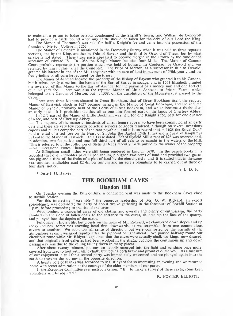to maintain a prison to lodge persons condemned at the Sheriff's tourn, and William de Oxencroft had to provide a cattle pound when any cattle should be taken for the debt of our Lord the King.

The Manor of Thorncroft was held for half a Knight's fee and came into the possession of the founder of Merton College in 1267.

The Manor of Fetcham is mentioned in the Domesday Survey when it was held as three separate sections, one by the King, another by Odo of Bayeux and the third by Oswold of Thegn, but by what<br>service is not stated. These three parts appeared to become merged in the Crown by the time of the<br>accession of Edward IV. I Court probably represents the portion which was held of Edward the Confessor by Oswold and was retained by him in chief after the Conquest. The Prior of Merton, as a successor in title to Oswold, granted his interest in one of the Mills together with an acre of land in payment of 5/0d. yearly and the free grinding of all corn he required for the Priory.

The Manor of Ashtead became the property of the Bishop of Bayeux who granted it to his Canons, but it subsequently came into the hands of the Earl of Surrey in socage, and in 1563 Elizabeth granted the reversion of this Manor to the Earl of Arundel for the payment of a money sum and one fortieth of a Knight's<br>of a Knight's fee. There was also the reputed Manor of Little Ashtead, or Priors Farm, which belonged to the Canons of Merton, but in 1538, on the dissolution of the Monastery, it passed to the Crown.

There were three Manors situated in Great Bookham, that of Great Bookham itself, the reputed Manor of Eastwick which in 1627 became merged in the Manor of Great Bookham, and the reputed M anor of Slyfield, probably held of the Lords of Great Bookham, and which became a freehold at an early date. It is probable that they all at one time formed part of the lands of Chertsey Abbey.

In 1275 part of the Manor of Little Bookham was held for one Knight's fee, part for one quarter of a fee, and part of Chertsey Abbey.

The majority of the manorial incidents of villein tenure appear to have been commuted at an early date and there are very few records of actual services or goods rendered, although on several occasions capons and pullets comprise part of the rent payable ; and it is on record that in 1628 the Royal Oak\* paid a rental of a red rose on the Feast of St. John the Baptist (24th June) and a quart of lamphreys in Lent to the Manor of Eastwick. In a Lease dated 1729 of Slyfield Mill a rent of £28 was reserved and, in addition, two fat pullets and one full third part of all eels to be caught in the waters of the Mill. (This is referred to in the collection of Slyfield Deeds recently made public by the owner of the property

*—see* " Occasional Notes " herein). At Effingham small tithes were still being rendered in kind in 1678. In the parish books it is recorded that one landholder paid £2 per annum, ploughed two acres of land and provided two geese, one pig and a tithe of the fruits of a plot of land by the churchyard ; and it is stated that in the same year another landholder paid £2 4s. per annum and an acre's ploughing to be carried out at three or four days' notice.

\* Teste J. H. Harvey.

S. E. D. F.

## **THE BOOKHAM CAVES**

#### **Blagdon Hill**

On Tuesday evening the 19th of July, a conducted visit was made to the Bookham Caves close to Boxhill Station.

For this interesting " scramble," the generous leadership of Mr. G. W. Ridyard, an expert speleologist, was obtained ; the party of about twelve gathering in the forecourt of Boxhill Station at 7 p.m. before proceeding to the site of the caves.

With torches, a wonderful array of old clothes and overalls and plenty of enthusiasm, the party climbed up the slope of fallen chalk to the entrance to the caves, situated up the face of the quarry, and plunged into the depths of the earth.

Following in Indian file, but closely on the heels of Mr. Ridyard, we clambered down slopes and up rocky inclines, sometimes crawling head first downwards, as we scrambled from one commodious cavern to another. We soon lost all sense of direction, but were comforted by the warmth of the atmosphere as each wriggled rapidly after the pinpoint of light ahead. We paused halfway round our circuitous route while Mr. Ridyard explained that the caves were actually chalk workings, now disused, and that originally level galleries had been worked in the strata, but now the continuous up and down passageway was due to the ceiling falling down in many places.

After about twenty minutes' journey we happily emerged into the light and sunshine once more, covered from head to foot with white chalk, but feeling both brave and proud of ourselves. As a measure of our enjoyment, a call for a second party was immediately welcomed and we plunged again into the earth to traverse the journey in the opposite direction.

A hearty vote of thanks was accorded to Mr. Ridyard for so interesting an evening and we returned home with secret admiration at the courage of the elder members of our party.

If the Executive Committee ever instructs Group " B " to make a survey of these caves, some keen volunteers will be required !

R. FOSTER ELLIOTT.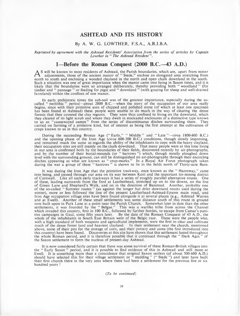#### **ASHTEAD AND ITS HISTORY**

#### By A. W. G. LOWTHER, F.S.A., A.R.I.B.A.

*Reprinted by agreement with the Ashtead Residents' Association from the series of articles by Captain Lowther in* " *The Ashtead Resident* " .

#### **I—Before the Roman Conquest (2000 B.C.—43 A.D.)**

A<sup>S</sup> will be known to most residents of Ashtead, the Parish boundaries, which are, apart from minor<br>and adjustments, those of the ancient manor of "Steele," enclose an elongated area stretching from<br>and parth to south and adjustments, those of the ancient manor of "Stede," enclose an elongated area stretching from north to south and enclosing a wooded clayland in the north and open chalk downland in the south. Such a situation was one of great importance when the manor came into being in Saxon times, and it is likely that the boundaries were so arranged deliberately, thereby providing both " woodland " (for tim ber and " pannage " or feeding for pigs) and " downland " (with grazing for sheep and well-drained farmland) within the confines of one manor.

In early prehistoric times the sub-soil was of the greatest importance, especially during the socalled " neolithic" period—about 2000 B.C.—when the story of the occupation of our area really begins, since with their primitive axes of chipped and polished stone (of which at least one specimen has been found at Ashtead) these people were unable to do much in the way of clearing the dense forests that then covered the clay regions. They were thus confined to living on the downland, which they cleared of its light scrub and where they dwelt in stockaded enclosures of a distinctive type known<br>to us as "causewayed camps" from the series of discontinuous ditches surrounding them. They<br>carried on farming of a p crops known to us in this country.

During the succeeding Bronze Age ("Early," "Middle" and "Late "—*circa* 1800-600 B.C.) and the opening phase of the Iron Age (*circa* 600-300 B.C.) conditions, though slowly improving, and remained much the same as regards the ability of the inhabitants to cope with the heavy clayland, their occupation sites are still mainly on the chalk downland. That many people were at this time living in our area is confirmed both by the boundaries of their fields, discovered recently by air-photographs, and by the number of their burial-mounds (or " barrows ") which, though mostly ploughed down level with the surrounding ground, can still be distinguished on air-photographs through their encircling ditches appearing as what are known as " crop-marks." In a Royal Air Force photograph taken during the war a group of these " barrows " is shown to lie in the fields north of Thirty-acre Barn.

It was during the Iron Age that the primitive trackway, once known as the " Harroway," came into being, and passed through our area on its way between Kent and the im portant tin-mining district of Cornwall. Like all such early trackways it has a series of roughly parallel alternative routes. One of these, leading eastwards from the ford at Leatherhead, stretched up on to the downs, on the line of Green Lane and Shepherd's Walk, and on in the direction of Banstead. Another, probably one of the so-called " Summer routes " (as against the longer but drier downland routes used during the winter), more or less followed the line of the present Leatherhead-Ashtead-Epsom main road, and Iron Age occupation village sites have been found alongside it at several places (e.g., Ashtead Warren and at Ewell). Another of these small settlements was some distance south of this route in ground now built upon in Park Lane at a point near the Parish Church. Somewhat later in date than the other settlements, it was founded by the " Belgae." This was a warlike tribe from across the Channel which invaded this country, first in 100 B.C., followed by further hordes, to escape from Caesar's punitive campaigns in Gaul, some fifty years later. By the date of the Roman Conquest of 43 A.D., the whole of the inhabitants in South East Britain were of the Belgic race. These were the people who, with a high standard of both weapons and agricultural implements, were the first to clear and cultivate much of the dense forest land and heaviest clayland. In their settlement near the church, mentioned above, some of their pits for the storage of corn, and their pottery and coins (the first introduced into this country) have been found. Discoveries at this site have shown that this settlement lasted throughout the whole Roman period, and it is therefore possible that it continued through the "Dark Ages" of the Saxon settlement to form the nucleus of present-day Ashtead.

It is now considered fairly certain that there was some survival of these Roman-British villages into the " Early Saxon " period, and it is possible to find evidence of this in Ashtead and still more at Ewell. It is something more than a coincidence that original Saxon settlers (of about 500-600 A.D.) should have selected this for their village settlement or "stedding" ("Stede") and later have built<br>their first church there in the very area where there had been a settlement for the previous five or six hundred years !

#### *(To be continued)*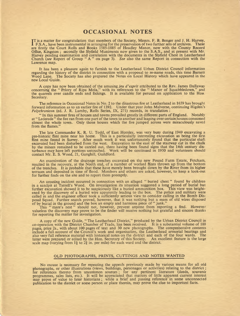#### **OCCASIONAL NOTES**

**I**T is a matter for congratulation that members of the Society, Messrs. F. B. Benger and J. H. Harvey, These **F. B. Benger and J. H. Harvey**, are firstly the Court Rolls and Books 1585-1885 of Headley Manor, now with the County Record Office, Kingston ; secondly the Slyfield Muniments now given to the S.A.S., and at present with Mr. Harvey pending examination and correlation with the documents in the Slyfield Chest in Leatherhead Church *(see* Report of Group " A " on page 3). *See* also the same Report in connection with the Lawrence map.

It has been a pleasure again to furnish to the Leatherhead U rban District Council information regarding the history of the district in connection with a proposal to re-name roads, this time Barnett Wood Lane. The Society has also prepared the Notes on Local History which have appeared in the new Local Guide.

A copy has now been obtained of the amusing *jeu d'esprit* attributed to the Rev. James Dallaway concerning the " Priory of Ripa Mola," with its references to the " Manor of Squabbledown," and the quarrels over candle ends and fishings. It is available for perusal on application to the Hon. Secretary.

The reference in Occasional Notes in No. 2 to the disastrous fire at Leatherhead in 1659 has brought forward information as to an earlier fire of 1392. Under that year John Malverne, continuing Higden's *Polychronicon* (ed. J. R. Lumby, Rolls Series, IX, 271) records, in translation :

" In this summer fires of houses and towns prevailed greatly in different parts of England. Notably at " Lederede " the fire ran from one part of the town to another and leaping over certain houses consumed almost the whole town. Only those houses which the fire jumped across were miraculously saved from the flames."

The late Commander K. R. U. Todd, of East Horsley, was very busy during 1949 excavating a pre-historic flint mine near his home. This is a particularly interesting excavation as being the first flint mine found in Surrey. After much work it was unfortunately found that the particular shaft excavated had been disturbed from the west. Excavation to the east of the stairway cut in the chalk by the miners remained to be carried out, there having been found signs that the 14th century disturbance may have left portions untouched. W ork will be continued in 1950 and volunteers should contact Mr. E. S. Wood, 21, Ganghill, Guildford.

An examination of the drainage trenches excavated on the new Pound Farm Estate, Fetcham, resulted in the recovery, at the North end, of a number of worked flints thrown up from the bottom of the trenches. It is probable that these have merely been brought down by the River from its higher terraces and deposited in time of flood. Members and others are asked, however, to keep a look-out for further finds on the site and to report them promptly.

An amusing incident occurred in connection with an alleged " buried chest " found by children<br>in a sandpit at Tyrrell's Wood. On investigation its situation suggested a long period of burial but further excavation showed it to be suspiciously like a buried ammunition box. This view was height-ened by the discovery of a buried wire apparently leading to the box. The police and military were called in and the engineer officer took a sufficiently serious view to consider calling in the Bomb Dis-<br>posal Squad. Further search proved, however, that it was nothing but a mass of old wires disposed of by burial in the ground and the box an empty and harmless piece of " junk."

This " mare's nest " should not, however, prevent anyone from reporting a find. However valueless the discovery may prove to be the finder will receive nothing but grateful and sincere thanks for reporting the matter for investigation.

A copy of the new Guide, "The Leatherhead District," produced by the Urban District Council in co-operation with the District Chamber of Trade, has been received. It is a substantial volume of 188 pages, price 2s., with about 100 pages of text and 30 new photographs. The comprehensive contents include a full account of the Council's work and organisation, the Leatherhead armorial bearings and also very full reference material with historical notes on the district and each of the four wards. The latter were prepared or edited by the Hon. Secretary of this Society. An excellent feature is the large latter were prepared or edited by the Hon. Secretary of this Society. An excellent feature is the large scale map (varying from  $1\frac{1}{4}$  to  $2\frac{3}{4}$  in. per mile) for each ward and the district.

#### OLD PHOTOGRAPHS, PRINTS, CUTTINGS AND NOTES WANTED

No excuse is necessary for repeating the appeals previously made by various means for all old photographs, or other illustrations (views, buildings, personages or activities) relating to the district ; for references thereto from uncommon sources ; for any pertinent literature (deeds, souvenir programmes, sales lists, etc.). It will be appreciated that matters of little apparent current interest may prove of value to later historians ; while a brief and passing reference in some unconnected publication to the district or some person or place therein, may prove the clue to important facts.